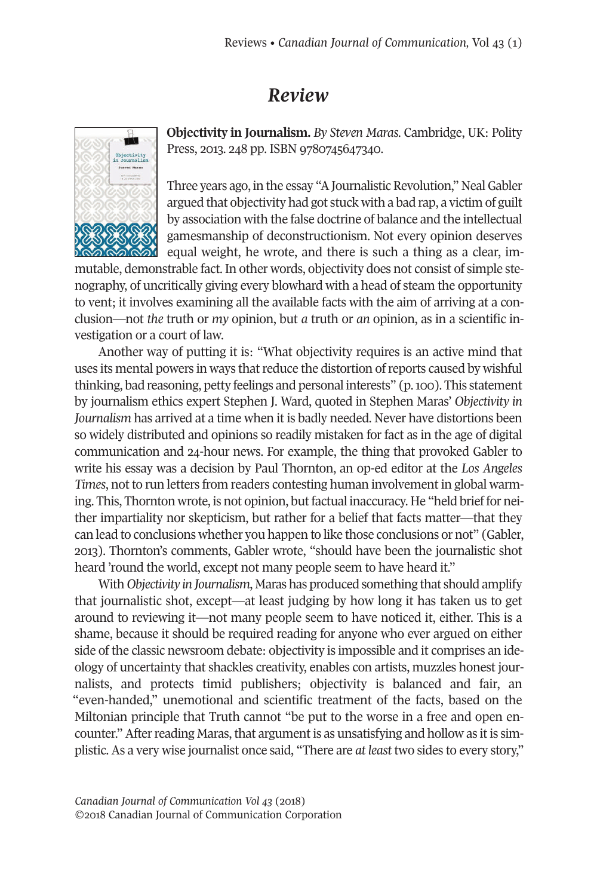## *Review*



**Objectivity in Journalism.** *By Steven Maras.* Cambridge, UK: Polity Press, 2013. 248 pp. ISBN 9780745647340.

Three years ago, in the essay "A Journalistic Revolution," Neal Gabler argued that objectivity had got stuck with a bad rap, a victim of guilt by association with the false doctrine of balance and the intellectual gamesmanship of deconstructionism. Not every opinion deserves equal weight, he wrote, and there is such a thing as a clear, im-

mutable, demonstrable fact. In other words, objectivity does not consist of simple stenography, of uncritically giving every blowhard with a head of steam the opportunity to vent; it involves examining all the available facts with the aim of arriving at a conclusion—not *the* truth or *my* opinion, but *a* truth or *an* opinion, as in a scientific investigation or a court of law.

Another way of putting it is: "What objectivity requires is an active mind that uses its mental powers in ways that reduce the distortion of reports caused by wishful thinking, bad reasoning, petty feelings and personal interests" (p.100). This statement by journalism ethics expert Stephen J. Ward, quoted in Stephen Maras' *Objectivity in Journalism* has arrived at a time when it is badly needed. Never have distortions been so widely distributed and opinions so readily mistaken for fact as in the age of digital communication and 24-hour news. For example, the thing that provoked Gabler to write his essay was a decision by Paul Thornton, an op-ed editor at the *Los Angeles Times*, not to run letters from readers contesting human involvement in global warming. This, Thornton wrote, is not opinion, butfactual inaccuracy. He "held brief for neither impartiality nor skepticism, but rather for a belief that facts matter—that they can lead to conclusions whether you happen to like those conclusions or not" (Gabler, 2013). Thornton's comments, Gabler wrote, "should have been the journalistic shot heard 'round the world, except not many people seem to have heard it."

With *Objectivity in Journalism*, Maras has produced something that should amplify that journalistic shot, except—at least judging by how long it has taken us to get around to reviewing it—not many people seem to have noticed it, either. This is a shame, because it should be required reading for anyone who ever argued on either side of the classic newsroom debate: objectivity is impossible and it comprises an ideology of uncertainty that shackles creativity, enables con artists, muzzles honest journalists, and protects timid publishers; objectivity is balanced and fair, an "even-handed," unemotional and scientific treatment of the facts, based on the Miltonian principle that Truth cannot "be put to the worse in a free and open encounter." After reading Maras, that argument is as unsatisfying and hollow as it is simplistic. As a very wise journalist once said, "There are *at least* two sides to every story,"

*Canadian Journal of [Communication](http://www.cjc-online.ca) Vol 43* (2018) ©2018 Canadian Journal of Communication Corporation